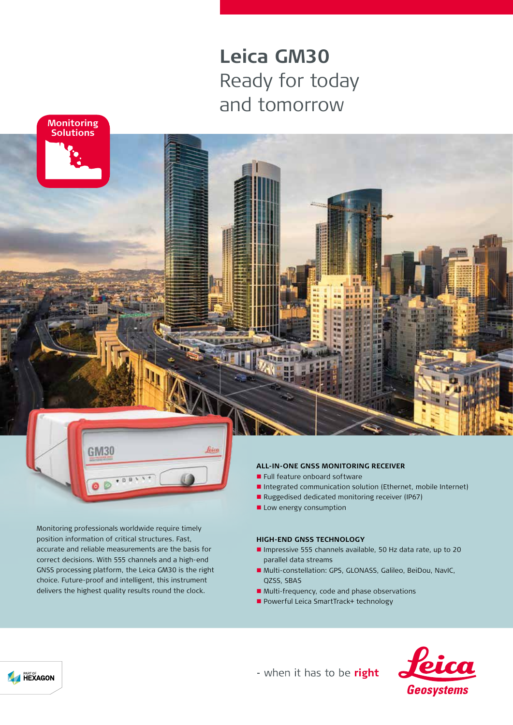# **Leica GM30** Ready for today and tomorrow



**n** Full feature onboard software

- Integrated communication solution (Ethernet, mobile Internet)
- Ruggedised dedicated monitoring receiver (IP67)
- **n** Low energy consumption

#### **HIGH-END GNSS TECHNOLOGY**

- n Impressive 555 channels available, 50 Hz data rate, up to 20 parallel data streams
- Multi-constellation: GPS, GLONASS, Galileo, BeiDou, NavIC, QZSS, SBAS
- Multi-frequency, code and phase observations
- Powerful Leica SmartTrack+ technology



- when it has to be right

Monitoring professionals worldwide require timely position information of critical structures. Fast, accurate and reliable measurements are the basis for correct decisions. With 555 channels and a high-end GNSS processing platform, the Leica GM30 is the right choice. Future-proof and intelligent, this instrument delivers the highest quality results round the clock.